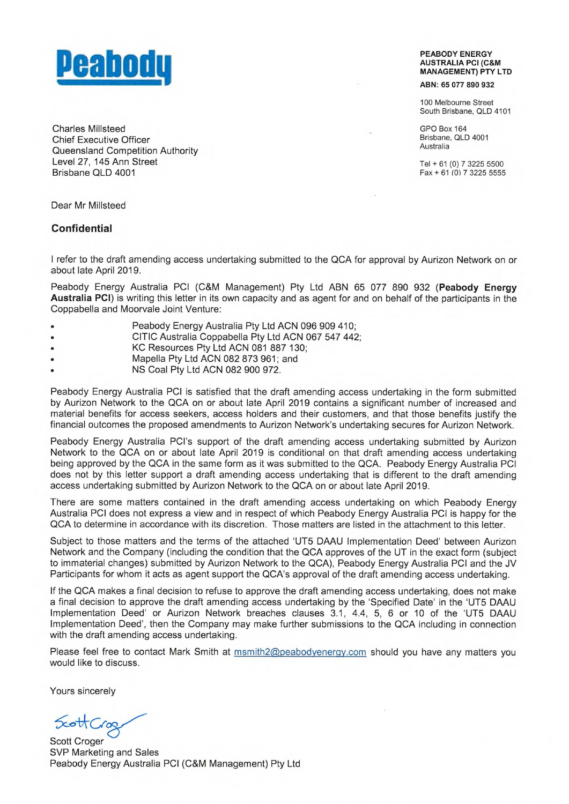

**AUSTRALIA PCI (GSA MANAGEMENT) PTY LTD** 

**ABN: 65 077 890 932** 

100 Melbourne Street South Brisbane, QLD 4101

GPO Box 164 Brisbane, QLD 4001 Australia

Tel + 61(0) 7 3225 5500 Fax + 61 (0) 7 3225 5555

Charles Millsteed Chief Executive Officer Queensland Competition Authority Level 27, 145 Ann Street Brisbane QLD 4001

Dear Mr Millsteed

## **Confidential**

I refer to the draft amending access undertaking submitted to the QCA for approval by Aurizon Network on or about late April 2019.

Peabody Energy Australia PCI (C&M Management) Pty Ltd ABN 65 077 890 932 **(Peabody Energy Australia PCI)** is writing this letter in its own capacity and as agent for and on behalf of the participants in the Coppabella and Moorvale Joint Venture:

- Peabody Energy Australia Pty Ltd ACN 096 909 410;  $\bullet$
- CITIC Australia Coppabella Pty Ltd ACN 067 547 442;  $\bullet$
- KC Resources Pty Ltd ACN 081 887 130;
- Mapella Pty Ltd ACN 082 873 961; and
- NS Coal Pty Ltd ACN 082 900 972.

Peabody Energy Australia PCI is satisfied that the draft amending access undertaking in the form submitted by Aurizon Network to the QCA on or about late April 2019 contains a significant number of increased and material benefits for access seekers, access holders and their customers, and that those benefits justify the financial outcomes the proposed amendments to Aurizon Network's undertaking secures for Aurizon Network.

Peabody Energy Australia PCI's support of the draft amending access undertaking submitted by Aurizon Network to the QCA on or about late April 2019 is conditional on that draft amending access undertaking being approved by the QCA in the same form as it was submitted to the QCA. Peabody Energy Australia PCI does not by this letter support a draft amending access undertaking that is different to the draft amending access undertaking submitted by Aurizon Network to the QCA on or about late April 2019.

There are some matters contained in the draft amending access undertaking on which Peabody Energy Australia PCI does not express a view and in respect of which Peabody Energy Australia PCI is happy for the QCA to determine in accordance with its discretion. Those matters are listed in the attachment to this letter.

Subject to those matters and the terms of the attached 'UT5 DAAU Implementation Deed' between Aurizon Network and the Company (including the condition that the QCA approves of the UT in the exact form (subject to immaterial changes) submitted by Aurizon Network to the QCA), Peabody Energy Australia PCI and the JV Participants for whom it acts as agent support the QCA's approval of the draft amending access undertaking.

If the QCA makes a final decision to refuse to approve the draft amending access undertaking, does not make a final decision to approve the draft amending access undertaking by the 'Specified Date' in the 'UT5 DAAU Implementation Deed' or Aurizon Network breaches clauses 3.1, 4.4, 5, 6 or 10 of the 'UT5 DAAU Implementation Deed', then the Company may make further submissions to the QCA including in connection with the draft amending access undertaking.

Please feel free to contact Mark Smith at msmith2@peabodyenergy.com should you have any matters you would like to discuss.

Yours sincerely

Scott Cros

Scott Croger SVP Marketing and Sales Peabody Energy Australia PCI (C&M Management) Pty Ltd